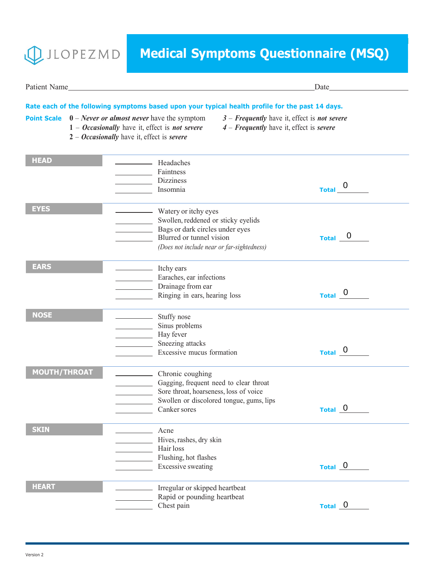

## **Medical Symptoms Questionnaire (MSQ)**

Patient Name Date

| <b>Point Scale</b> $0$ – <i>Never or almost never</i> have the symptom<br>$1 - Occasionally$ have it, effect is <i>not severe</i><br>$2 - Occasionally$ have it, effect is severe |                                                                                                                                                                          | Rate each of the following symptoms based upon your typical health profile for the past 14 days.<br>$3$ – Frequently have it, effect is not severe<br>$4$ – Frequently have it, effect is severe |                                  |
|-----------------------------------------------------------------------------------------------------------------------------------------------------------------------------------|--------------------------------------------------------------------------------------------------------------------------------------------------------------------------|--------------------------------------------------------------------------------------------------------------------------------------------------------------------------------------------------|----------------------------------|
| <b>HEAD</b>                                                                                                                                                                       | Headaches<br>Faintness<br><b>Dizziness</b><br>Insomnia                                                                                                                   |                                                                                                                                                                                                  | $\overline{0}$<br><b>Total</b>   |
| <b>EYES</b>                                                                                                                                                                       | Watery or itchy eyes<br>Swollen, reddened or sticky eyelids<br>Bags or dark circles under eyes<br>Blurred or tunnel vision<br>(Does not include near or far-sightedness) |                                                                                                                                                                                                  | $_{\text{Total}}$ 0              |
| <b>EARS</b>                                                                                                                                                                       | <b>Example 11</b> Itchy ears<br>Earaches, ear infections<br>Drainage from ear<br>Ringing in ears, hearing loss                                                           |                                                                                                                                                                                                  | Total $\overline{\phantom{0}}^0$ |
| <b>NOSE</b>                                                                                                                                                                       | Stuffy nose<br>Sinus problems<br>Hay fever<br>Sneezing attacks<br>Excessive mucus formation                                                                              |                                                                                                                                                                                                  | Total <sub>0</sub>               |
| <b>MOUTH/THROAT</b>                                                                                                                                                               | Chronic coughing<br>Gagging, frequent need to clear throat<br>Sore throat, hoarseness, loss of voice<br>Swollen or discolored tongue, gums, lips<br>Canker sores         |                                                                                                                                                                                                  | Total <sub>0</sub>               |
| <b>SKIN</b>                                                                                                                                                                       | Acne<br>Hives, rashes, dry skin<br>Hair loss<br>Flushing, hot flashes<br><b>Excessive sweating</b>                                                                       |                                                                                                                                                                                                  | Total 0                          |
| <b>HEART</b>                                                                                                                                                                      | Irregular or skipped heartbeat<br>Rapid or pounding heartbeat<br>Chest pain                                                                                              |                                                                                                                                                                                                  | Total 0                          |

Chest pain **Total**